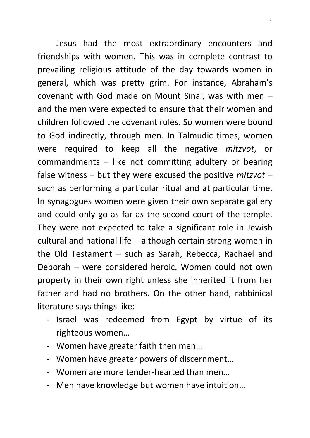Jesus had the most extraordinary encounters and friendships with women. This was in complete contrast to prevailing religious attitude of the day towards women in general, which was pretty grim. For instance, Abraham's covenant with God made on Mount Sinai, was with men – and the men were expected to ensure that their women and children followed the covenant rules. So women were bound to God indirectly, through men. In Talmudic times, women were required to keep all the negative *mitzvot*, or commandments – like not committing adultery or bearing false witness – but they were excused the positive *mitzvot* – such as performing a particular ritual and at particular time. In synagogues women were given their own separate gallery and could only go as far as the second court of the temple. They were not expected to take a significant role in Jewish cultural and national life – although certain strong women in the Old Testament – such as Sarah, Rebecca, Rachael and Deborah – were considered heroic. Women could not own property in their own right unless she inherited it from her father and had no brothers. On the other hand, rabbinical literature says things like:

- Israel was redeemed from Egypt by virtue of its righteous women…
- Women have greater faith then men…
- Women have greater powers of discernment…
- Women are more tender-hearted than men…
- Men have knowledge but women have intuition…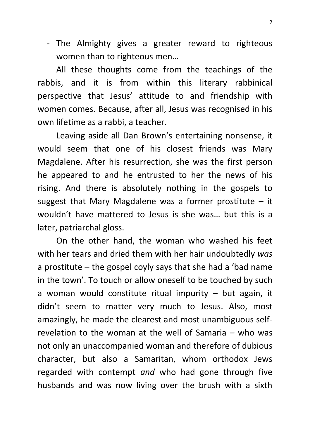- The Almighty gives a greater reward to righteous women than to righteous men…

All these thoughts come from the teachings of the rabbis, and it is from within this literary rabbinical perspective that Jesus' attitude to and friendship with women comes. Because, after all, Jesus was recognised in his own lifetime as a rabbi, a teacher.

Leaving aside all Dan Brown's entertaining nonsense, it would seem that one of his closest friends was Mary Magdalene. After his resurrection, she was the first person he appeared to and he entrusted to her the news of his rising. And there is absolutely nothing in the gospels to suggest that Mary Magdalene was a former prostitute  $-$  it wouldn't have mattered to Jesus is she was… but this is a later, patriarchal gloss.

On the other hand, the woman who washed his feet with her tears and dried them with her hair undoubtedly *was* a prostitute – the gospel coyly says that she had a 'bad name in the town'. To touch or allow oneself to be touched by such a woman would constitute ritual impurity  $-$  but again, it didn't seem to matter very much to Jesus. Also, most amazingly, he made the clearest and most unambiguous selfrevelation to the woman at the well of Samaria – who was not only an unaccompanied woman and therefore of dubious character, but also a Samaritan, whom orthodox Jews regarded with contempt *and* who had gone through five husbands and was now living over the brush with a sixth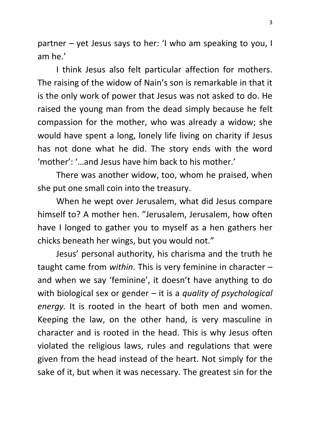partner – yet Jesus says to her: 'I who am speaking to you, I am he.'

I think Jesus also felt particular affection for mothers. The raising of the widow of Nain's son is remarkable in that it is the only work of power that Jesus was not asked to do. He raised the young man from the dead simply because he felt compassion for the mother, who was already a widow; she would have spent a long, lonely life living on charity if Jesus has not done what he did. The story ends with the word 'mother': '…and Jesus have him back to his mother.'

There was another widow, too, whom he praised, when she put one small coin into the treasury.

When he wept over Jerusalem, what did Jesus compare himself to? A mother hen. "Jerusalem, Jerusalem, how often have I longed to gather you to myself as a hen gathers her chicks beneath her wings, but you would not."

Jesus' personal authority, his charisma and the truth he taught came from *within*. This is very feminine in character – and when we say 'feminine', it doesn't have anything to do with biological sex or gender – it is a *quality of psychological energy.* It is rooted in the heart of both men and women. Keeping the law, on the other hand, is very masculine in character and is rooted in the head. This is why Jesus often violated the religious laws, rules and regulations that were given from the head instead of the heart. Not simply for the sake of it, but when it was necessary. The greatest sin for the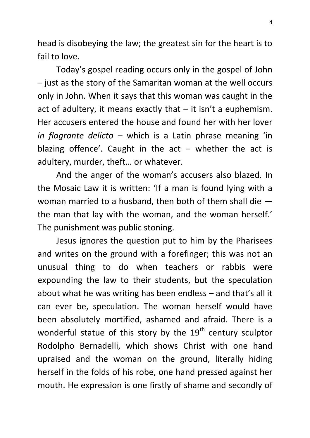head is disobeying the law; the greatest sin for the heart is to fail to love.

Today's gospel reading occurs only in the gospel of John – just as the story of the Samaritan woman at the well occurs only in John. When it says that this woman was caught in the act of adultery, it means exactly that  $-$  it isn't a euphemism. Her accusers entered the house and found her with her lover *in flagrante delicto* – which is a Latin phrase meaning 'in blazing offence'. Caught in the  $act -$  whether the act is adultery, murder, theft… or whatever.

And the anger of the woman's accusers also blazed. In the Mosaic Law it is written: 'If a man is found lying with a woman married to a husband, then both of them shall die the man that lay with the woman, and the woman herself.' The punishment was public stoning.

Jesus ignores the question put to him by the Pharisees and writes on the ground with a forefinger; this was not an unusual thing to do when teachers or rabbis were expounding the law to their students, but the speculation about what he was writing has been endless – and that's all it can ever be, speculation. The woman herself would have been absolutely mortified, ashamed and afraid. There is a wonderful statue of this story by the  $19<sup>th</sup>$  century sculptor Rodolpho Bernadelli, which shows Christ with one hand upraised and the woman on the ground, literally hiding herself in the folds of his robe, one hand pressed against her mouth. He expression is one firstly of shame and secondly of